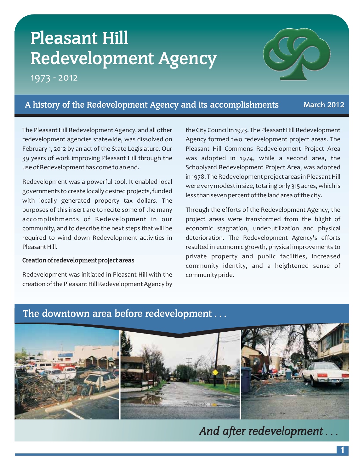# **Pleasant Hill Redevelopment Agency**

1973 - 2012



# **A history of the Redevelopment Agency and its accomplishments March 2012**

The Pleasant Hill Redevelopment Agency, and all other redevelopment agencies statewide, was dissolved on February 1, 2012 by an act of the State Legislature. Our 39 years of work improving Pleasant Hill through the use of Redevelopment has come to an end.

Redevelopment was a powerful tool. It enabled local governments to create locally desired projects, funded with locally generated property tax dollars. The purposes of this insert are to recite some of the many accomplishments of Redevelopment in our community, and to describe the next steps that will be required to wind down Redevelopment activities in Pleasant Hill.

#### **Creation of redevelopment project areas**

Redevelopment was initiated in Pleasant Hill with the creation of the Pleasant Hill Redevelopment Agency by the City Council in 1973. The Pleasant Hill Redevelopment Agency formed two redevelopment project areas. The Pleasant Hill Commons Redevelopment Project Area was adopted in 1974, while a second area, the Schoolyard Redevelopment Project Area, was adopted in 1978. The Redevelopment project areas in Pleasant Hill were very modest in size, totaling only 315 acres, which is less than seven percent of the land area of the city.

Through the efforts of the Redevelopment Agency, the project areas were transformed from the blight of economic stagnation, under-utilization and physical deterioration. The Redevelopment Agency's efforts resulted in economic growth, physical improvements to private property and public facilities, increased community identity, and a heightened sense of community pride.

# **The downtown area before redevelopment...**



*And after redevelopment...*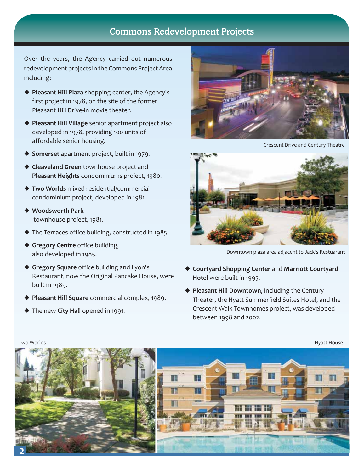# **Commons Redevelopment Projects**

Over the years, the Agency carried out numerous redevelopment projects in the Commons Project Area including:

- **Pleasant Hill Plaza** shopping center, the Agency's first project in 1978, on the site of the former Pleasant Hill Drive-in movie theater.
- **Pleasant Hill Village** senior apartment project also developed in 1978, providing 100 units of affordable senior housing.
- **Somerset** apartment project, built in 1979.
- **Cleaveland Green** townhouse project and **Pleasant Heights** condominiums project, 1980.
- **Two Worlds** mixed residential/commercial condominium project, developed in 1981.
- **Woodsworth Park** townhouse project, 1981.
- ◆ The Terraces office building, constructed in 1985.
- **Gregory Centre** office building, also developed in 1985.
- **Gregory Square** office building and Lyon's Restaurant, now the Original Pancake House, were built in 1989.
- **Pleasant Hill Square** commercial complex, 1989.
- ◆ The new City Hall opened in 1991.



Crescent Drive and Century Theatre



Downtown plaza area adjacent to Jack's Restuarant

- ◆ Courtyard Shopping Center and Marriott Courtyard **Hote** l were built in 1995.
- **Pleasant Hill Downtown** , including the Century Theater, the Hyatt Summerfield Suites Hotel, and the Crescent Walk Townhomes project, was developed between 1998 and 2002.

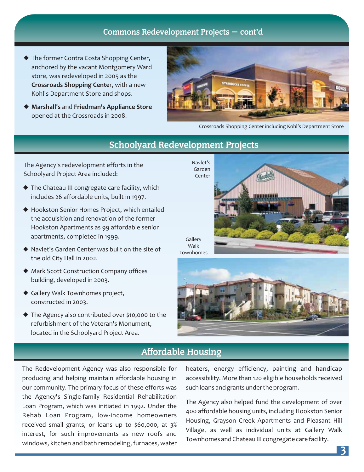### **Commons Redevelopment Projects — cont'd**

- The former Contra Costa Shopping Center, anchored by the vacant Montgomery Ward store, was redeveloped in 2005 as the **Crossroads Shopping Center, with a new** Kohl's Department Store and shops.
- ◆ Marshall's and Friedman's Appliance Store opened at the Crossroads in 2008.



Crossroads Shopping Center including Kohl's Department Store

# **Schoolyard Redevelopment Projects**

The Agency's redevelopment efforts in the Schoolyard Project Area included:

- ◆ The Chateau III congregate care facility, which includes 26 affordable units, built in 1997.
- Hookston Senior Homes Project, which entailed the acquisition and renovation of the former Hookston Apartments as 99 affordable senior apartments, completed in 1999.
- Navlet's Garden Center was built on the site of the old City Hall in 2002.
- Mark Scott Construction Company offices building, developed in 2003.
- Gallery Walk Townhomes project, constructed in 2003.
- ◆ The Agency also contributed over \$10,000 to the refurbishment of the Veteran's Monument, located in the Schoolyard Project Area.

Navlet's Garden Center



**Gallery** Walk Townhomes



## **Affordable Housing**

The Redevelopment Agency was also responsible for producing and helping maintain affordable housing in our community. The primary focus of these efforts was the Agency's Single-family Residential Rehabilitation Loan Program, which was initiated in 1992. Under the Rehab Loan Program, low-income homeowners received small grants, or loans up to \$60,000, at 3% interest, for such improvements as new roofs and windows, kitchen and bath remodeling, furnaces, water heaters, energy efficiency, painting and handicap accessibility. More than 120 eligible households received such loans and grants under the program.

The Agency also helped fund the development of over 400 affordable housing units, including Hookston Senior Housing, Grayson Creek Apartments and Pleasant Hill Village, as well as individual units at Gallery Walk Townhomes and Chateau III congregate care facility.